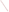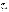## **THE ENVIRONMENTAL TECHNOLOGY VERIFICATION**







# **ETV Joint Verification Statement**

| <b>TECHNOLOGY TYPE:</b>              | <b>AMBIENT AMMONIA MONITOR</b>                                                                              |  |  |  |  |
|--------------------------------------|-------------------------------------------------------------------------------------------------------------|--|--|--|--|
| <b>APPLICATION:</b>                  | <b>MEASURING AMMONIA EMISSIONS AT ANIMAL</b><br><b>FEEDING OPERATIONS</b>                                   |  |  |  |  |
| TECHNOLOGY NAME: QC-TILDAS           |                                                                                                             |  |  |  |  |
| <b>COMPANY:</b>                      | <b>Aerodyne Research, Inc.</b>                                                                              |  |  |  |  |
| <b>ADDRESS:</b>                      | <b>45 Manning Road</b><br>PHONE: 978-663-9500<br><b>Billerica, Massachusetts 01821 FAX:</b><br>978-663-4918 |  |  |  |  |
| <b>WEB SITE:</b><br>$E\text{-}MAIL:$ | www.aerodyne.com/<br>shorter@aerodyne.com                                                                   |  |  |  |  |

The U.S. Environmental Protection Agency (EPA) supports the Environmental Technology Verification (ETV) Program to facilitate the deployment of innovative or improved environmental technologies through performance verification and dissemination of information. The goal of the ETV Program is to further environmental protection by accelerating the acceptance and use of improved and cost-effective technologies. ETV seeks to achieve this goal by providing high-quality, peer-reviewed data on technology performance to those involved in the design, distribution, financing, permitting, purchase, and use of environmental technologies. Information and ETV documents are available at www.epa.gov/etv.

ETV works in partnership with recognized standards and testing organizations, with stakeholder groups (consisting of buyers, vendor organizations, and permitters), and with individual technology developers. The program evaluates the performance of innovative technologies by developing test plans that are responsive to the needs of stakeholders, conducting field or laboratory tests (as appropriate), collecting and analyzing data, and preparing peer-reviewed reports. All evaluations are conducted in accordance with rigorous quality assurance (QA) protocols to ensure that data of known and adequate quality are generated and that the results are defensible.

The Advanced Monitoring Systems (AMS) Center, one of seven technology areas under ETV, is operated by Battelle in cooperation with EPA's National Exposure Research Laboratory. In collaboration with the U.S. Department of Agriculture, the AMS Center has recently evaluated the performance of ambient ammonia (NH<sub>3</sub>) monitors to measure  $NH_3$  emissions. This verification statement provides a summary of the test results for the Aerodyne Research, Inc. Quantum Cascade-Tunable Infrared Laser Differential Absorption Spectrometer (QC-TILDAS).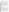#### **VERIFICATION TEST DESCRIPTION**

The objective of this verification test was to evaluate the QC-TILDAS's performance in measuring gaseous NH<sub>3</sub> in ambient air at two animal feeding operations. The verification test was conducted in two phases, each at separate animal feeding operations. The first phase of testing was conducted between September 8 and October 3, 2003, at a swine finishing farm near Ames, Iowa. The second phase was conducted between October 20 and November 14, 2003, at a cattle feedlot in Carroll, Iowa. These sites were selected to provide realistic testing conditions and were expected to exhibit a wide range of  $NH<sub>3</sub>$  concentrations during the test periods. The verification test was designed to evaluate relative accuracy (RA), linearity, precision, response time, calibration and zero drift, interference effects, comparability, ease of use, and data completeness.

During Weeks 1 and 4 of each phase of the verification test, the QC-TILDAS response to a series of NH<sub>3</sub> gas standards of known concentration was used to quantify RA, linearity, precision, and calibration/zero drift. Ammonia gas standards ranging from 0 to 3,030 parts per billion (ppb)  $NH_3$  and 0 to 2,000 ppb  $NH_3$  were delivered during Phases I and II, respectively. The QC-TILDAS response time, the time to reach 95% of the change in the stable concentration, was also assessed during the delivery of the gas standards and reported in terms of seconds (s). During the second phase, interference effects were quantified from the QC-TILDAS response to various chemical species that may be present at animal feeding operations; the potential interferent gases were delivered both in the presence and absence of NH3. The QC-TILDAS continuous response to ambient air also was evaluated during both phases as the comparability to simultaneous determinations by a time-integrated ambient NH<sub>3</sub> reference method (acid-coated denuders). Comparisons were made with reference samples that were collected on a five-per-day schedule for periods of between 2 to 12 hours for approximately 10 days during each phase, based on procedures in EPA Method IO-4.2.

QA oversight of verification testing was provided by Battelle and EPA. Battelle QA staff conducted a technical systems audit, a performance evaluation audit, and a data quality audit of 10% of the test data. This verification statement, the full report on which it is based, and the test/QA plan for this verification test are all available at www.epa.gov/etv/centers/center1.html.

#### **TECHNOLOGY DESCRIPTION**

The following description of the QC-TILDAS was provided by the vendor and does not represent verified information.

The QC-TILDAS is a tunable infrared laser spectrometer, based on pulsed quantum cascade laser technology. The QC-TILDAS uses an absolute spectroscopic analysis method that is inherently self-calibrating, making calibration gases unnecessary. The QC-TILDAS is optimized for NH<sub>3</sub>, but it can be used for a variety of gases, depending on laser selection. Ambient  $NH_3$  is continuously sampled in a multipass (56-meter path length, 0.5-liter volume) cell at reduced pressure (30 to 60 Torr). The glass surfaces are siloxyl-coated to minimize surface losses. The QC-TILDAS uses the unique infrared spectroscopic identification, or fingerprint, of  $NH<sub>3</sub>$  to quantify ambient  $NH<sub>3</sub>$ levels. The QC-TILDAS consists of an optical and an electronic subunit, mounted together. The optical system is on a temperature-stabilized 25-centimeter (cm)  $\times$  60-cm optical breadboard and contains a laser, multiple-pass absorption cell, and infrared detectors, coupled with all-reflective optics. The quantum cascade laser for NH<sub>3</sub> detection at a 10.3-micrometer wavelength is thermoelectrically cooled in a hermetically sealed housing and operates in the pulsed mode. The astigmatic Herriot multiple pass cell has two mirrors separated by 32 cm. Two infrared detectors, one for the sample cell and one for a reference cell are contained in one liquid nitrogen-cooled dewar. (Thermoelectrically cooled detector options are available with reduction in sensitivity.) The electronics subunit consists of laser temperature and current controllers, pressure and temperature probes, valve driver, and computerized data acquisition. The data acquisition rate is adjustable from 1 Hertz (Hz) to 20 Hz. The electronics are mounted in a standard 48.3-cm rack, 53.3 cm wide by 53.3 cm deep. The total height of QC-TILDAS is 61 cm. The combined weight of the electronics and optical modules is 77.3 kilograms. Several options for removal of particulate matter are available, including the inlet system used in this verification test that utilizes secondary air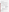flow for inertial separation of particulate matter. A vacuum pump is required for continuous sampling at reduced pressure in the absorption cell. A temperature-controlled, closed-loop circulator provides the coolant for the laser housing and electronics. QC-TILDAS costs \$118,000.

### **VERIFICATION OF PERFORMANCE**

The performance of the QC-TILDAS was evaluated in two phases in this verification test. During both phases of the verification test, the QC-TILDAS was installed inside a temperature-regulated instrument trailer, and the Teflon QC-TILDAS inlet was used to sample the outside air. The following presents a summary of the performance of the QC-TILDAS during this verification test. The values presented in this table are based on 10-Hz data or 60-s averages as noted below. Values in parentheses are 95% confidence intervals.

|                                                   | <b>Results</b>                                                                                                                                                                                                                                                                                                                                                                                                                                                                                                                                                                                                                                                                                   |                                                                    |                                                                    |                                                                                                                                                                                                                                                            |                                                                        |                                                    |  |  |  |
|---------------------------------------------------|--------------------------------------------------------------------------------------------------------------------------------------------------------------------------------------------------------------------------------------------------------------------------------------------------------------------------------------------------------------------------------------------------------------------------------------------------------------------------------------------------------------------------------------------------------------------------------------------------------------------------------------------------------------------------------------------------|--------------------------------------------------------------------|--------------------------------------------------------------------|------------------------------------------------------------------------------------------------------------------------------------------------------------------------------------------------------------------------------------------------------------|------------------------------------------------------------------------|----------------------------------------------------|--|--|--|
|                                                   | <b>Phase I</b>                                                                                                                                                                                                                                                                                                                                                                                                                                                                                                                                                                                                                                                                                   |                                                                    |                                                                    | <b>Phase II</b>                                                                                                                                                                                                                                            |                                                                        |                                                    |  |  |  |
| <b>Parameter</b>                                  |                                                                                                                                                                                                                                                                                                                                                                                                                                                                                                                                                                                                                                                                                                  | Week 1                                                             | Week 4                                                             |                                                                                                                                                                                                                                                            | Week 1                                                                 | Week 4                                             |  |  |  |
| Relative<br>accuracy <sup>(a)(b)</sup>            | Average RA<br>%D <sup>(c)</sup> Range                                                                                                                                                                                                                                                                                                                                                                                                                                                                                                                                                                                                                                                            | 6.5%<br>$-15.0\%$ to 6.5%                                          | 4.7%<br>$-11.4\%$ to $-2.2\%$ %D Range                             | Average RA                                                                                                                                                                                                                                                 | 10.0%<br>$-12.7\%$ to $-8.2\%$                                         | Interference test<br>conducted<br>during<br>Week 4 |  |  |  |
| Linearity <sup>(a)</sup>                          | Range<br>Slope<br>Intercept<br>$r^2$                                                                                                                                                                                                                                                                                                                                                                                                                                                                                                                                                                                                                                                             | 0 to $3,030$ ppb<br>$0.840 (\pm 0.032)$<br>35 $(\pm 42)$<br>0.9989 | 0 to 2,326 ppb<br>$0.962 (\pm 0.009)$<br>$1.5 (\pm 8.9)$<br>0.9999 | Range<br>Slope<br>Intercept<br>$r^2$                                                                                                                                                                                                                       | 0 to 2,000 ppb<br>$0.919 \ (\pm 0.016)$<br>$-8.8 (\pm 18.6)$<br>0.9998 |                                                    |  |  |  |
| Precision <sup>(a)</sup>                          | Average RSD <sup>(d)</sup><br>Range                                                                                                                                                                                                                                                                                                                                                                                                                                                                                                                                                                                                                                                              | 2.4%<br>0.5% to 3.7%                                               | 2.5%<br>1.0% to 4.1%                                               | Average RSD<br>Range                                                                                                                                                                                                                                       | 1.9%<br>1.0% to 3.0%                                                   |                                                    |  |  |  |
| Response time <sup>(a)</sup><br>(95%)             | <b>Rise Time</b><br>Fall Time                                                                                                                                                                                                                                                                                                                                                                                                                                                                                                                                                                                                                                                                    | $0.8$ to 65.6 s<br>(e)                                             | 1.4 to 15.0 s<br>5.5 s                                             | <b>Rise Time</b><br>Fall Time                                                                                                                                                                                                                              | 1.1 to 14.9 s<br>(de                                                   |                                                    |  |  |  |
| Calibration/<br>zero drift                        | No apparent drift in response to zero air or to $NH3$<br>standards during Week $4^{(f)}$                                                                                                                                                                                                                                                                                                                                                                                                                                                                                                                                                                                                         |                                                                    |                                                                    | No apparent drift in response to zero air<br>or in response to $1,000$ ppb NH <sub>3</sub> during Week 1, a<br>34-ppb decrease observed for last check of Week 4.                                                                                          |                                                                        |                                                    |  |  |  |
| Interference<br>effects <sup>(g)</sup>            | Interference test conducted<br>during Phase II                                                                                                                                                                                                                                                                                                                                                                                                                                                                                                                                                                                                                                                   |                                                                    |                                                                    | • Hydrogen sulfide (101 ppb): No apparent effect<br>• Nitrogen dioxide (104 ppb): No apparent effect<br>• 1,3-Butadiene (102 ppb): No apparent effect<br>• Diethylamine (102 ppb): 19% increase in zero air,<br>no apparent effect in 500 ppb $NH_3^{(h)}$ |                                                                        |                                                    |  |  |  |
| Comparability <sup>(i)</sup>                      | Slope = $1.09 \ (\pm 0.05)$<br>Intercept = $14.4 \ (\pm 22.0)$<br>$r^2 = 0.9822$                                                                                                                                                                                                                                                                                                                                                                                                                                                                                                                                                                                                                 |                                                                    |                                                                    | Slope = $0.984 \ (\pm 0.026)$<br>Intercept = $-9.52 \ (\pm 3.25)$<br>$r^2 = 0.9943$                                                                                                                                                                        |                                                                        |                                                    |  |  |  |
| Ease of use                                       | • Required liquid nitrogen fills every 12 hours; other daily checks were straightforward and quick<br>• Technician experienced in instrumentation/spectroscopy required to operate; some spectra were refitted<br>by vendor representative during periods when the operational parameters were not set properly<br>• Testing activities completed in a short time<br>• Operator required to restart after power loss<br>• Delivery of gas standards required additional dilution because of 13-liters per minute inlet flow rate<br>• Vendor representative conducted data processing to remove spurious data points resulting from<br>automated zero air measurement for background subtraction |                                                                    |                                                                    |                                                                                                                                                                                                                                                            |                                                                        |                                                    |  |  |  |
| Data<br>completeness                              |                                                                                                                                                                                                                                                                                                                                                                                                                                                                                                                                                                                                                                                                                                  | 92% data completeness, 90% data collected                          |                                                                    | 100% data completeness, 98% data collected                                                                                                                                                                                                                 |                                                                        |                                                    |  |  |  |
| $\overline{a}$ 10-Hz data used for this analysis. |                                                                                                                                                                                                                                                                                                                                                                                                                                                                                                                                                                                                                                                                                                  |                                                                    |                                                                    |                                                                                                                                                                                                                                                            |                                                                        |                                                    |  |  |  |

#### **Performance Summary of the QC-TILDAS**

 $^{(a)}$  10-Hz data used for this analysis.

<sup>(b)</sup> Relative accuracy is expressed as an average absolute value of the percent difference from NH<sub>3</sub> gas standards.<br>
<sup>(c)</sup> %D – percent difference

 $\%D$  = percent difference.

(d)  $RSD$  = relative standard deviation.<br>(e)  $Fall time not measured/reported du$ 

- (e) Fall time not measured/reported during this check.<br>
(f) The first two calibration and zero checks during Ph
- The first two calibration and zero checks during Phase I could not be analyzed because some ambient air was sampled along with the gas standards. Drift could not be assessed during Week 1 of Phase I.
- $<sup>(g)</sup>$  Calculated as the change in signal divided by the interferent gas concentration, expressed as a percentage.</sup>
- (h) The presence of an NH<sub>3</sub> impurity in the diethylamine gas standard or the release of NH<sub>3</sub> from the sample lines during delivery could not be ruled out.
- $(i)$  60-second averages used for this analysis.